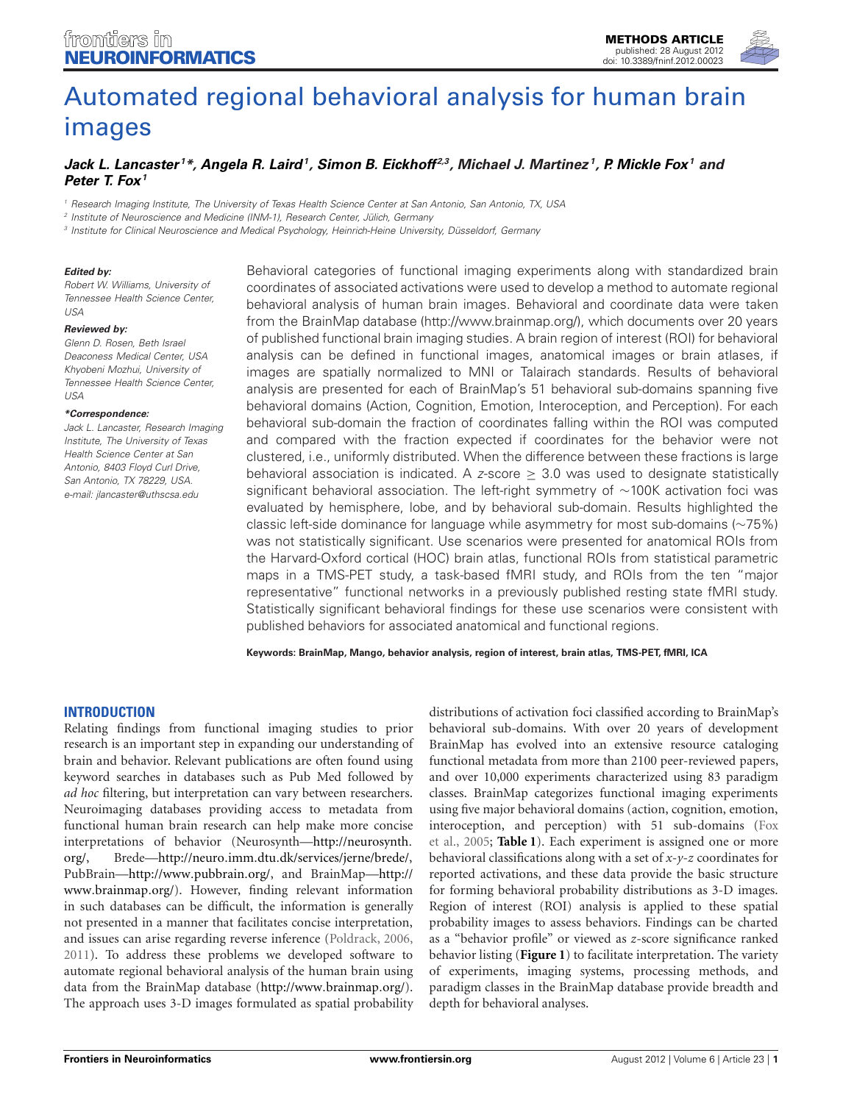

# [Automated regional behavioral analysis for human brain](http://www.frontiersin.org/Neuroinformatics/10.3389/fninf.2012.00023/abstract) images

# *[Jack L. Lancaster](http://www.frontiersin.org/Community/WhosWhoActivity.aspx?sname=JackLancaster&UID=4512) <sup>1</sup> \*, [Angela R. Laird](http://www.frontiersin.org/Community/WhosWhoActivity.aspx?sname=AngelaLaird&UID=4504)1, [Simon B. Eickhoff](http://community.frontiersin.org/people/SimonEickhoff/4506) 2,3, Michael J. Martinez 1, [P. Mickle Fox1](http://community.frontiersin.org/people/PeterFox/4508) and [Peter T. Fox](http://community.frontiersin.org/people/PeterFox_1/4513)1*

*<sup>1</sup> Research Imaging Institute, The University of Texas Health Science Center at San Antonio, San Antonio, TX, USA*

*<sup>2</sup> Institute of Neuroscience and Medicine (INM-1), Research Center, Jülich, Germany*

*<sup>3</sup> Institute for Clinical Neuroscience and Medical Psychology, Heinrich-Heine University, Düsseldorf, Germany*

#### *Edited by:*

*Robert W. Williams, University of Tennessee Health Science Center, USA*

#### *Reviewed by:*

*Glenn D. Rosen, Beth Israel Deaconess Medical Center, USA Khyobeni Mozhui, University of Tennessee Health Science Center, USA*

#### *\*Correspondence:*

*Jack L. Lancaster, Research Imaging Institute, The University of Texas Health Science Center at San Antonio, 8403 Floyd Curl Drive, San Antonio, TX 78229, USA. e-mail: jlancaster@uthscsa.edu*

Behavioral categories of functional imaging experiments along with standardized brain coordinates of associated activations were used to develop a method to automate regional behavioral analysis of human brain images. Behavioral and coordinate data were taken from the BrainMap database (http://www.brainmap.org/), which documents over 20 years of published functional brain imaging studies. A brain region of interest (ROI) for behavioral analysis can be defined in functional images, anatomical images or brain atlases, if images are spatially normalized to MNI or Talairach standards. Results of behavioral analysis are presented for each of BrainMap's 51 behavioral sub-domains spanning five behavioral domains (Action, Cognition, Emotion, Interoception, and Perception). For each behavioral sub-domain the fraction of coordinates falling within the ROI was computed and compared with the fraction expected if coordinates for the behavior were not clustered, i.e., uniformly distributed. When the difference between these fractions is large behavioral association is indicated. A *z*-score ≥ 3.0 was used to designate statistically significant behavioral association. The left-right symmetry of ∼100K activation foci was evaluated by hemisphere, lobe, and by behavioral sub-domain. Results highlighted the classic left-side dominance for language while asymmetry for most sub-domains (∼75%) was not statistically significant. Use scenarios were presented for anatomical ROIs from the Harvard-Oxford cortical (HOC) brain atlas, functional ROIs from statistical parametric maps in a TMS-PET study, a task-based fMRI study, and ROIs from the ten "major representative" functional networks in a previously published resting state fMRI study. Statistically significant behavioral findings for these use scenarios were consistent with published behaviors for associated anatomical and functional regions.

**Keywords: BrainMap, Mango, behavior analysis, region of interest, brain atlas, TMS-PET, fMRI, ICA**

#### **INTRODUCTION**

Relating findings from functional imaging studies to prior research is an important step in expanding our understanding of brain and behavior. Relevant publications are often found using keyword searches in databases such as Pub Med followed by *ad hoc* filtering, but interpretation can vary between researchers. Neuroimaging databases providing access to metadata from functional human brain research can help make more concise interpretations of behavior (Neurosynth[—http://neurosynth](http://neurosynth.org/)*.* [org/,](http://neurosynth.org/) Brede—http://neuro*.*imm*.*dtu*.*[dk/services/jerne/brede/,](http://neuro.imm.dtu.dk/services/jerne/brede/) PubBrain[—http://www](http://www.pubbrain.org/)*.*pubbrain*.*org/, and BrainMap[—http://](http://www.brainmap.org/) www*.*[brainmap](http://www.brainmap.org/)*.*org/). However, finding relevant information in such databases can be difficult, the information is generally not presented in a manner that facilitates concise interpretation, and issues can arise regarding reverse inference [\(Poldrack](#page-11-0), [2006,](#page-11-0) [2011](#page-11-1)). To address these problems we developed software to automate regional behavioral analysis of the human brain using data from the BrainMap database [\(http://www](http://www.brainmap.org/)*.*brainmap*.*org/). The approach uses 3-D images formulated as spatial probability

distributions of activation foci classified according to BrainMap's behavioral sub-domains. With over 20 years of development BrainMap has evolved into an extensive resource cataloging functional metadata from more than 2100 peer-reviewed papers, and over 10,000 experiments characterized using 83 paradigm classes. BrainMap categorizes functional imaging experiments using five major behavioral domains (action, cognition, emotion, inter[oception, and perception\) with 51 sub-domains \(](#page-10-0)Fox et al., [2005;](#page-10-0) **[Table 1](#page-1-0)**). Each experiment is assigned one or more behavioral classifications along with a set of *x*-*y*-*z* coordinates for reported activations, and these data provide the basic structure for forming behavioral probability distributions as 3-D images. Region of interest (ROI) analysis is applied to these spatial probability images to assess behaviors. Findings can be charted as a "behavior profile" or viewed as *z*-score significance ranked behavior listing (**[Figure 1](#page-2-0)**) to facilitate interpretation. The variety of experiments, imaging systems, processing methods, and paradigm classes in the BrainMap database provide breadth and depth for behavioral analyses.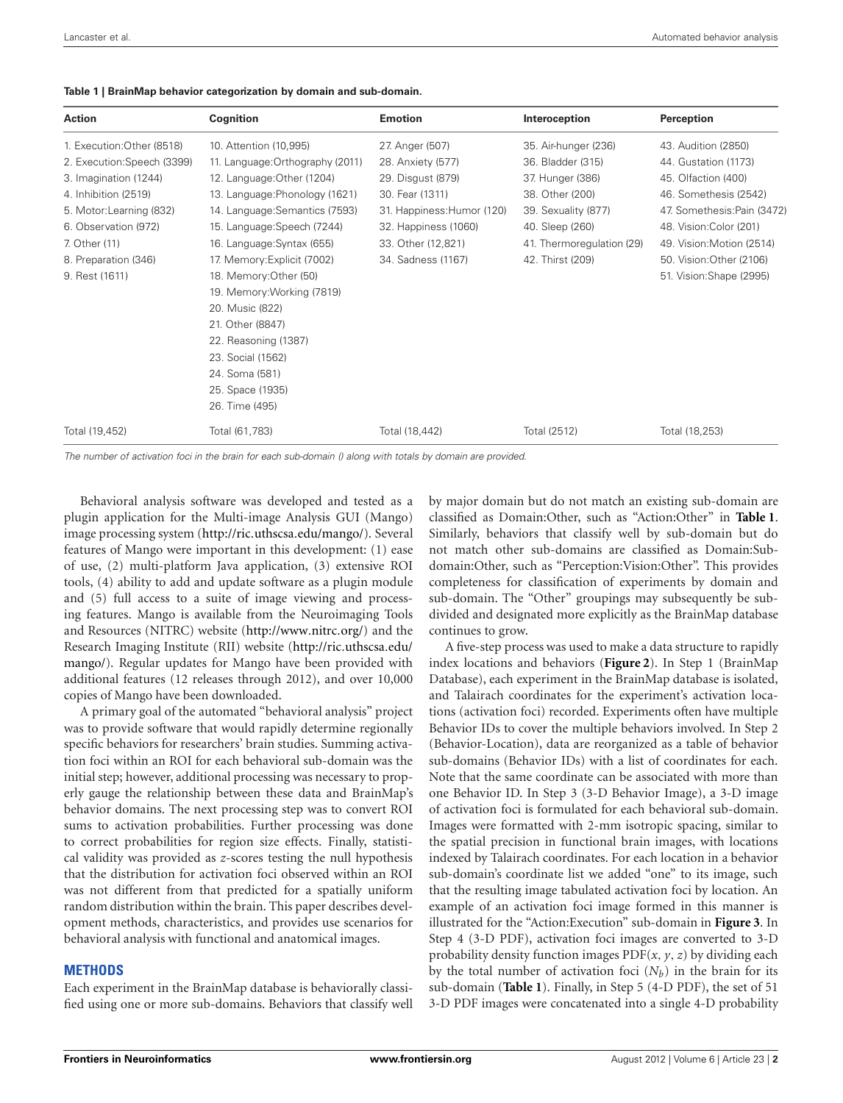| <b>Action</b>               | Cognition                        | <b>Emotion</b>             | Interoception             | Perception                  |
|-----------------------------|----------------------------------|----------------------------|---------------------------|-----------------------------|
| 1. Execution: Other (8518)  | 10. Attention (10,995)           | 27. Anger (507)            | 35. Air-hunger (236)      | 43. Audition (2850)         |
| 2. Execution: Speech (3399) | 11. Language: Orthography (2011) | 28. Anxiety (577)          | 36. Bladder (315)         | 44. Gustation (1173)        |
| 3. Imagination (1244)       | 12. Language: Other (1204)       | 29. Disqust (879)          | 37. Hunger (386)          | 45. Olfaction (400)         |
| 4. Inhibition (2519)        | 13. Language: Phonology (1621)   | 30. Fear (1311)            | 38. Other (200)           | 46. Somethesis (2542)       |
| 5. Motor:Learning (832)     | 14. Language: Semantics (7593)   | 31. Happiness: Humor (120) | 39. Sexuality (877)       | 47. Somethesis: Pain (3472) |
| 6. Observation (972)        | 15. Language: Speech (7244)      | 32. Happiness (1060)       | 40. Sleep (260)           | 48. Vision: Color (201)     |
| 7. Other (11)               | 16. Language: Syntax (655)       | 33. Other (12,821)         | 41. Thermoregulation (29) | 49. Vision: Motion (2514)   |
| 8. Preparation (346)        | 17. Memory: Explicit (7002)      | 34. Sadness (1167)         | 42. Thirst (209)          | 50. Vision: Other (2106)    |
| 9. Rest (1611)              | 18. Memory: Other (50)           |                            |                           | 51. Vision: Shape (2995)    |
|                             | 19. Memory: Working (7819)       |                            |                           |                             |
|                             | 20. Music (822)                  |                            |                           |                             |
|                             | 21. Other (8847)                 |                            |                           |                             |
|                             | 22. Reasoning (1387)             |                            |                           |                             |
|                             | 23. Social (1562)                |                            |                           |                             |
|                             | 24. Soma (581)                   |                            |                           |                             |
|                             | 25. Space (1935)                 |                            |                           |                             |
|                             | 26. Time (495)                   |                            |                           |                             |
| Total (19,452)              | Total (61,783)                   | Total (18,442)             | Total (2512)              | Total (18,253)              |

#### <span id="page-1-0"></span>**Table 1 | BrainMap behavior categorization by domain and sub-domain.**

*The number of activation foci in the brain for each sub-domain () along with totals by domain are provided.*

Behavioral analysis software was developed and tested as a plugin application for the Multi-image Analysis GUI (Mango) image processing system (http://ric*.*uthscsa*.*[edu/mango/\)](http://ric.uthscsa.edu/mango/). Several features of Mango were important in this development: (1) ease of use, (2) multi-platform Java application, (3) extensive ROI tools, (4) ability to add and update software as a plugin module and (5) full access to a suite of image viewing and processing features. Mango is available from the Neuroimaging Tools and Resources (NITRC) website [\(http://www](http://www.nitrc.org/)*.*nitrc*.*org/) and the Research Imaging Institute (RII) website [\(http://ric](http://ric.uthscsa.edu/mango/)*.*uthscsa*.*edu/ [mango/\)](http://ric.uthscsa.edu/mango/). Regular updates for Mango have been provided with additional features (12 releases through 2012), and over 10,000 copies of Mango have been downloaded.

A primary goal of the automated "behavioral analysis" project was to provide software that would rapidly determine regionally specific behaviors for researchers' brain studies. Summing activation foci within an ROI for each behavioral sub-domain was the initial step; however, additional processing was necessary to properly gauge the relationship between these data and BrainMap's behavior domains. The next processing step was to convert ROI sums to activation probabilities. Further processing was done to correct probabilities for region size effects. Finally, statistical validity was provided as *z*-scores testing the null hypothesis that the distribution for activation foci observed within an ROI was not different from that predicted for a spatially uniform random distribution within the brain. This paper describes development methods, characteristics, and provides use scenarios for behavioral analysis with functional and anatomical images.

#### **METHODS**

Each experiment in the BrainMap database is behaviorally classified using one or more sub-domains. Behaviors that classify well by major domain but do not match an existing sub-domain are classified as Domain:Other, such as "Action:Other" in **[Table 1](#page-1-0)**. Similarly, behaviors that classify well by sub-domain but do not match other sub-domains are classified as Domain:Subdomain:Other, such as "Perception:Vision:Other". This provides completeness for classification of experiments by domain and sub-domain. The "Other" groupings may subsequently be subdivided and designated more explicitly as the BrainMap database continues to grow.

A five-step process was used to make a data structure to rapidly index locations and behaviors (**[Figure 2](#page-3-0)**). In Step 1 (BrainMap Database), each experiment in the BrainMap database is isolated, and Talairach coordinates for the experiment's activation locations (activation foci) recorded. Experiments often have multiple Behavior IDs to cover the multiple behaviors involved. In Step 2 (Behavior-Location), data are reorganized as a table of behavior sub-domains (Behavior IDs) with a list of coordinates for each. Note that the same coordinate can be associated with more than one Behavior ID. In Step 3 (3-D Behavior Image), a 3-D image of activation foci is formulated for each behavioral sub-domain. Images were formatted with 2-mm isotropic spacing, similar to the spatial precision in functional brain images, with locations indexed by Talairach coordinates. For each location in a behavior sub-domain's coordinate list we added "one" to its image, such that the resulting image tabulated activation foci by location. An example of an activation foci image formed in this manner is illustrated for the "Action:Execution" sub-domain in **[Figure 3](#page-4-0)**. In Step 4 (3-D PDF), activation foci images are converted to 3-D probability density function images PDF(*x, y,z*) by dividing each by the total number of activation foci  $(N_b)$  in the brain for its sub-domain (**[Table 1](#page-1-0)**). Finally, in Step 5 (4-D PDF), the set of 51 3-D PDF images were concatenated into a single 4-D probability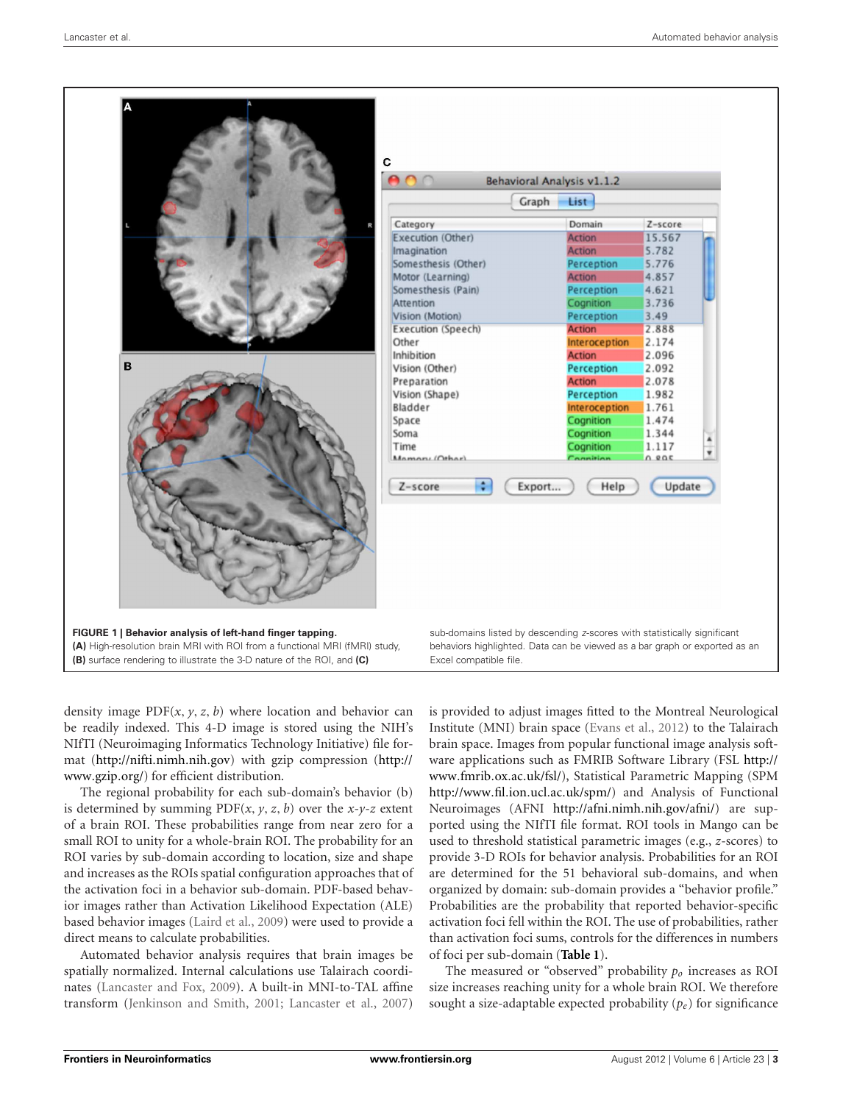

<span id="page-2-0"></span>density image  $PDF(x, y, z, b)$  where location and behavior can be readily indexed. This 4-D image is stored using the NIH's NIfTI (Neuroimaging Informatics Technology Initiative) file format [\(http://nifti](http://nifti.nimh.nih.gov)*.*nimh*.*nih*.*gov) with gzip compression [\(http://](http://www.gzip.org/) [www](http://www.gzip.org/)*.*gzip*.*org/) for efficient distribution.

The regional probability for each sub-domain's behavior (b) is determined by summing  $PDF(x, y, z, b)$  over the *x*-*y*-*z* extent of a brain ROI. These probabilities range from near zero for a small ROI to unity for a whole-brain ROI. The probability for an ROI varies by sub-domain according to location, size and shape and increases as the ROIs spatial configuration approaches that of the activation foci in a behavior sub-domain. PDF-based behavior images rather than Activation Likelihood Expectation (ALE) based behavior images [\(Laird et al.](#page-10-1), [2009](#page-10-1)) were used to provide a direct means to calculate probabilities.

Automated behavior analysis requires that brain images be spatially normalized. Internal calculations use Talairach coordinates [\(Lancaster and Fox, 2009](#page-10-2)). A built-in MNI-to-TAL affine transform [\(Jenkinson and Smith, 2001](#page-10-3); [Lancaster et al., 2007](#page-10-4))

is provided to adjust images fitted to the Montreal Neurological Institute (MNI) brain space [\(Evans et al.](#page-10-5), [2012](#page-10-5)) to the Talairach brain space. Images from popular functional image analysis software applications such as FMRIB Software Library (FSL [http://](http://www.fmrib.ox.ac.uk/fsl/) www*.*fmrib*.*ox*.*ac*.*[uk/fsl/\)](http://www.fmrib.ox.ac.uk/fsl/), Statistical Parametric Mapping (SPM [http://www](http://www.fil.ion.ucl.ac.uk/spm/)*.*fil*.*ion*.*ucl*.*ac*.*uk/spm/) and Analysis of Functional Neuroimages (AFNI [http://afni](http://afni.nimh.nih.gov/afni/)*.*nimh*.*nih*.*gov/afni/) are supported using the NIfTI file format. ROI tools in Mango can be used to threshold statistical parametric images (e.g., *z*-scores) to provide 3-D ROIs for behavior analysis. Probabilities for an ROI are determined for the 51 behavioral sub-domains, and when organized by domain: sub-domain provides a "behavior profile." Probabilities are the probability that reported behavior-specific activation foci fell within the ROI. The use of probabilities, rather than activation foci sums, controls for the differences in numbers of foci per sub-domain (**[Table 1](#page-1-0)**).

The measured or "observed" probability *po* increases as ROI size increases reaching unity for a whole brain ROI. We therefore sought a size-adaptable expected probability (*pe*) for significance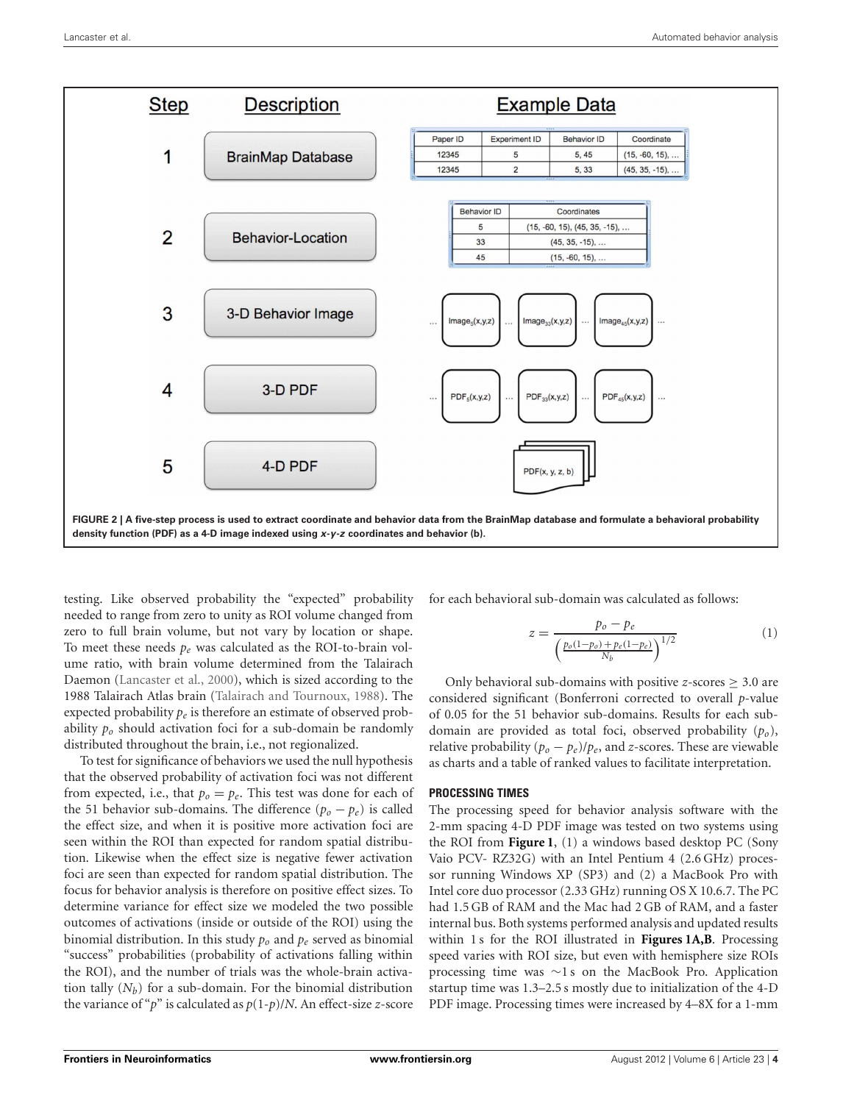

<span id="page-3-0"></span>testing. Like observed probability the "expected" probability needed to range from zero to unity as ROI volume changed from zero to full brain volume, but not vary by location or shape. To meet these needs *pe* was calculated as the ROI-to-brain volume ratio, with brain volume determined from the Talairach Daemon [\(Lancaster et al., 2000\)](#page-10-6), which is sized according to the 1988 Talairach Atlas brain [\(Talairach and Tournoux, 1988](#page-11-2)). The expected probability *pe* is therefore an estimate of observed probability *po* should activation foci for a sub-domain be randomly distributed throughout the brain, i.e., not regionalized.

To test for significance of behaviors we used the null hypothesis that the observed probability of activation foci was not different from expected, i.e., that  $p_0 = p_e$ . This test was done for each of the 51 behavior sub-domains. The difference  $(p_o - p_e)$  is called the effect size, and when it is positive more activation foci are seen within the ROI than expected for random spatial distribution. Likewise when the effect size is negative fewer activation foci are seen than expected for random spatial distribution. The focus for behavior analysis is therefore on positive effect sizes. To determine variance for effect size we modeled the two possible outcomes of activations (inside or outside of the ROI) using the binomial distribution. In this study *po* and *pe* served as binomial "success" probabilities (probability of activations falling within the ROI), and the number of trials was the whole-brain activation tally  $(N_h)$  for a sub-domain. For the binomial distribution the variance of "*p*" is calculated as *p*(1-*p*)/*N*. An effect-size *z*-score

for each behavioral sub-domain was calculated as follows:

$$
z = \frac{p_o - p_e}{\left(\frac{p_o(1 - p_o) + p_e(1 - p_e)}{N_b}\right)^{1/2}}
$$
(1)

Only behavioral sub-domains with positive *z*-scores  $\geq$  3.0 are considered significant (Bonferroni corrected to overall *p*-value of 0.05 for the 51 behavior sub-domains. Results for each subdomain are provided as total foci, observed probability (*po*), relative probability  $(p_o - p_e)/p_e$ , and *z*-scores. These are viewable as charts and a table of ranked values to facilitate interpretation.

#### **PROCESSING TIMES**

The processing speed for behavior analysis software with the 2-mm spacing 4-D PDF image was tested on two systems using the ROI from **[Figure 1](#page-2-0)**, (1) a windows based desktop PC (Sony Vaio PCV- RZ32G) with an Intel Pentium 4 (2.6 GHz) processor running Windows XP (SP3) and (2) a MacBook Pro with Intel core duo processor (2.33 GHz) running OS X 10.6.7. The PC had 1.5 GB of RAM and the Mac had 2 GB of RAM, and a faster internal bus. Both systems performed analysis and updated results within 1 s for the ROI illustrated in **[Figures 1A,B](#page-2-0)**. Processing speed varies with ROI size, but even with hemisphere size ROIs processing time was ∼1 s on the MacBook Pro. Application startup time was 1.3–2.5 s mostly due to initialization of the 4-D PDF image. Processing times were increased by 4–8X for a 1-mm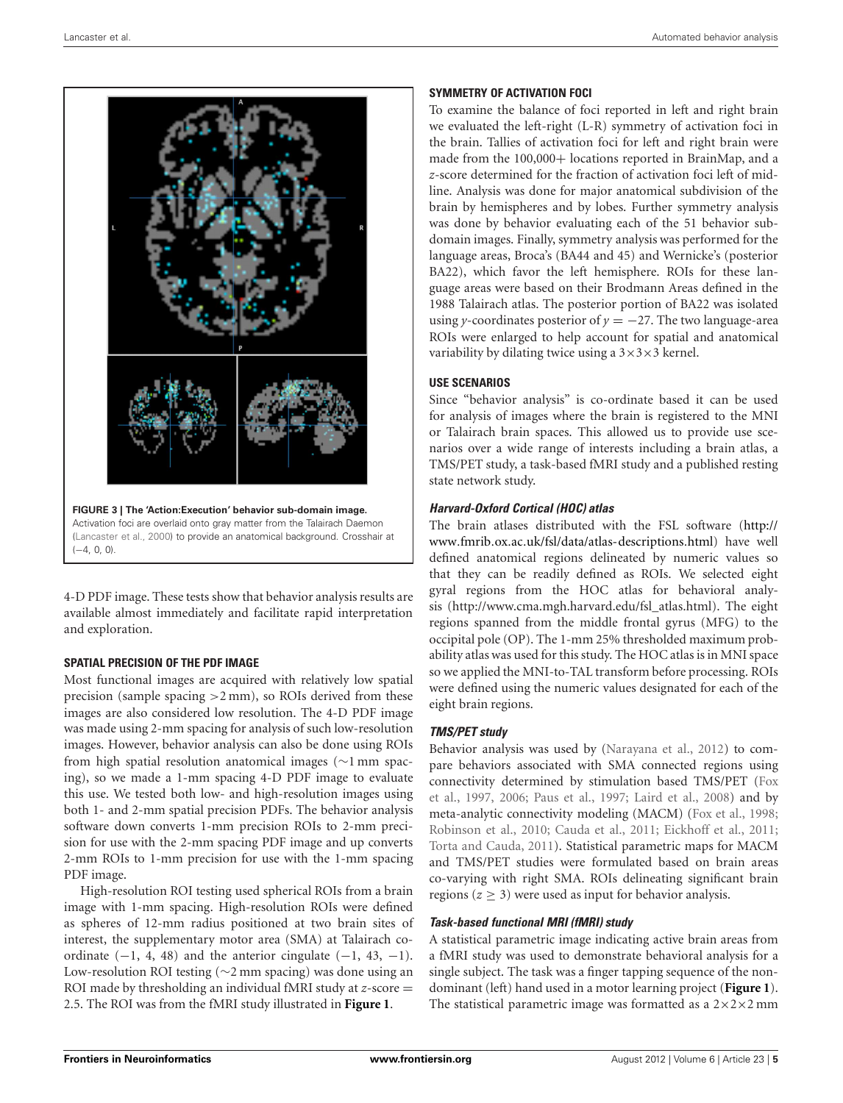

<span id="page-4-0"></span>4-D PDF image. These tests show that behavior analysis results are available almost immediately and facilitate rapid interpretation and exploration.

## **SPATIAL PRECISION OF THE PDF IMAGE**

Most functional images are acquired with relatively low spatial precision (sample spacing *>*2 mm), so ROIs derived from these images are also considered low resolution. The 4-D PDF image was made using 2-mm spacing for analysis of such low-resolution images. However, behavior analysis can also be done using ROIs from high spatial resolution anatomical images (∼1 mm spacing), so we made a 1-mm spacing 4-D PDF image to evaluate this use. We tested both low- and high-resolution images using both 1- and 2-mm spatial precision PDFs. The behavior analysis software down converts 1-mm precision ROIs to 2-mm precision for use with the 2-mm spacing PDF image and up converts 2-mm ROIs to 1-mm precision for use with the 1-mm spacing PDF image.

High-resolution ROI testing used spherical ROIs from a brain image with 1-mm spacing. High-resolution ROIs were defined as spheres of 12-mm radius positioned at two brain sites of interest, the supplementary motor area (SMA) at Talairach coordinate  $(-1, 4, 48)$  and the anterior cingulate  $(-1, 43, -1)$ . Low-resolution ROI testing (∼2 mm spacing) was done using an ROI made by thresholding an individual fMRI study at *z*-score = 2.5. The ROI was from the fMRI study illustrated in **[Figure 1](#page-2-0)**.

# **SYMMETRY OF ACTIVATION FOCI**

To examine the balance of foci reported in left and right brain we evaluated the left-right (L-R) symmetry of activation foci in the brain. Tallies of activation foci for left and right brain were made from the 100,000+ locations reported in BrainMap, and a *z*-score determined for the fraction of activation foci left of midline. Analysis was done for major anatomical subdivision of the brain by hemispheres and by lobes. Further symmetry analysis was done by behavior evaluating each of the 51 behavior subdomain images. Finally, symmetry analysis was performed for the language areas, Broca's (BA44 and 45) and Wernicke's (posterior BA22), which favor the left hemisphere. ROIs for these language areas were based on their Brodmann Areas defined in the 1988 Talairach atlas. The posterior portion of BA22 was isolated using *y*-coordinates posterior of  $y = -27$ . The two language-area ROIs were enlarged to help account for spatial and anatomical variability by dilating twice using a  $3\times3\times3$  kernel.

# **USE SCENARIOS**

Since "behavior analysis" is co-ordinate based it can be used for analysis of images where the brain is registered to the MNI or Talairach brain spaces. This allowed us to provide use scenarios over a wide range of interests including a brain atlas, a TMS/PET study, a task-based fMRI study and a published resting state network study.

# *Harvard-Oxford Cortical (HOC) atlas*

The brain atlases distributed with the FSL software [\(http://](http://www.fmrib.ox.ac.uk/fsl/data/atlas-descriptions.html) www*.*fmrib*.*ox*.*ac*.*[uk/fsl/data/atlas-descriptions](http://www.fmrib.ox.ac.uk/fsl/data/atlas-descriptions.html)*.*html) have well defined anatomical regions delineated by numeric values so that they can be readily defined as ROIs. We selected eight gyral regions from the HOC atlas for behavioral analysis (http://www.cma.mgh.harvard.edu/fsl\_atlas.html). The eight regions spanned from the middle frontal gyrus (MFG) to the occipital pole (OP). The 1-mm 25% thresholded maximum probability atlas was used for this study. The HOC atlas is in MNI space so we applied the MNI-to-TAL transform before processing. ROIs were defined using the numeric values designated for each of the eight brain regions.

# *TMS/PET study*

Behavior analysis was used by [\(Narayana et al.](#page-11-3), [2012](#page-11-3)) to compare behaviors associated with SMA connected regions using conn[ectivity](#page-10-7) [determined](#page-10-7) [by](#page-10-7) [stimulation](#page-10-7) [based](#page-10-7) [TMS/PET](#page-10-7) [\(](#page-10-7)Fox et al., [1997,](#page-10-7) [2006](#page-10-8); [Paus et al., 1997;](#page-11-4) [Laird et al.](#page-10-9), [2008](#page-10-9)) and by meta-analytic connectivity modeling (MACM) [\(Fox et al.](#page-10-10), [1998;](#page-10-10) [Robinson et al., 2010](#page-11-5); [Cauda et al., 2011](#page-10-11); [Eickhoff et al., 2011;](#page-10-12) [Torta and Cauda](#page-11-6), [2011](#page-11-6)). Statistical parametric maps for MACM and TMS/PET studies were formulated based on brain areas co-varying with right SMA. ROIs delineating significant brain regions ( $z \geq 3$ ) were used as input for behavior analysis.

# *Task-based functional MRI (fMRI) study*

A statistical parametric image indicating active brain areas from a fMRI study was used to demonstrate behavioral analysis for a single subject. The task was a finger tapping sequence of the nondominant (left) hand used in a motor learning project (**[Figure 1](#page-2-0)**). The statistical parametric image was formatted as a  $2 \times 2 \times 2$  mm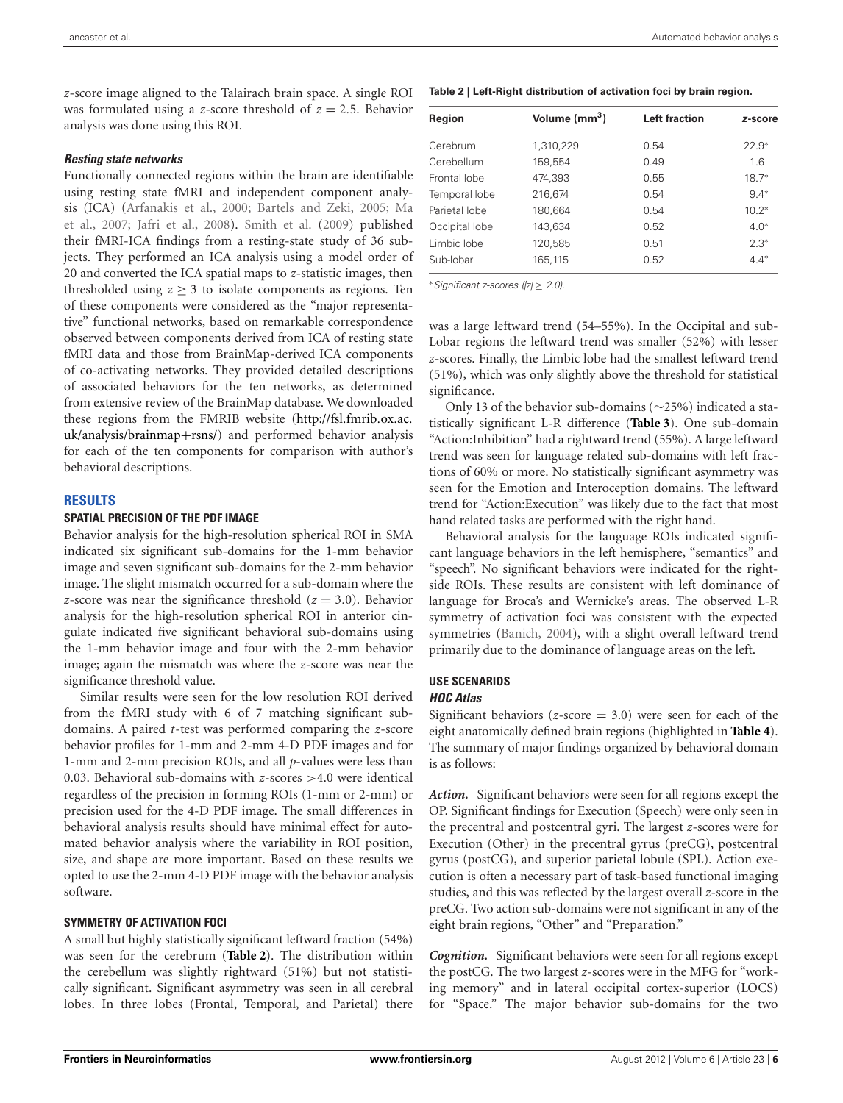*z*-score image aligned to the Talairach brain space. A single ROI was formulated using a *z*-score threshold of *z* = 2*.*5. Behavior analysis was done using this ROI.

#### *Resting state networks*

Functionally connected regions within the brain are identifiable using resting state fMRI and independent component analysis ([ICA\)](#page-11-7) [\(Arfanakis et al.](#page-10-13)[,](#page-11-7) [2000](#page-10-13)[;](#page-11-7) [Bartels and Zeki, 2005;](#page-10-14) Ma et al., [2007](#page-11-7); [Jafri et al., 2008\)](#page-10-15). [Smith et al.](#page-11-8) [\(2009](#page-11-8)) published their fMRI-ICA findings from a resting-state study of 36 subjects. They performed an ICA analysis using a model order of 20 and converted the ICA spatial maps to *z*-statistic images, then thresholded using  $z \geq 3$  to isolate components as regions. Ten of these components were considered as the "major representative" functional networks, based on remarkable correspondence observed between components derived from ICA of resting state fMRI data and those from BrainMap-derived ICA components of co-activating networks. They provided detailed descriptions of associated behaviors for the ten networks, as determined from extensive review of the BrainMap database. We downloaded these regions from the FMRIB website [\(http://fsl](http://fsl.fmrib.ox.ac.uk/analysis/brainmap+rsns/)*.*fmrib*.*ox*.*ac*.* [uk/analysis/brainmap](http://fsl.fmrib.ox.ac.uk/analysis/brainmap+rsns/)+rsns/) and performed behavior analysis for each of the ten components for comparison with author's behavioral descriptions.

## **RESULTS**

### **SPATIAL PRECISION OF THE PDF IMAGE**

Behavior analysis for the high-resolution spherical ROI in SMA indicated six significant sub-domains for the 1-mm behavior image and seven significant sub-domains for the 2-mm behavior image. The slight mismatch occurred for a sub-domain where the *z*-score was near the significance threshold  $(z = 3.0)$ . Behavior analysis for the high-resolution spherical ROI in anterior cingulate indicated five significant behavioral sub-domains using the 1-mm behavior image and four with the 2-mm behavior image; again the mismatch was where the *z*-score was near the significance threshold value.

Similar results were seen for the low resolution ROI derived from the fMRI study with 6 of 7 matching significant subdomains. A paired *t*-test was performed comparing the *z*-score behavior profiles for 1-mm and 2-mm 4-D PDF images and for 1-mm and 2-mm precision ROIs, and all *p*-values were less than 0.03. Behavioral sub-domains with *z*-scores *>*4.0 were identical regardless of the precision in forming ROIs (1-mm or 2-mm) or precision used for the 4-D PDF image. The small differences in behavioral analysis results should have minimal effect for automated behavior analysis where the variability in ROI position, size, and shape are more important. Based on these results we opted to use the 2-mm 4-D PDF image with the behavior analysis software.

### **SYMMETRY OF ACTIVATION FOCI**

A small but highly statistically significant leftward fraction (54%) was seen for the cerebrum (**[Table 2](#page-5-0)**). The distribution within the cerebellum was slightly rightward (51%) but not statistically significant. Significant asymmetry was seen in all cerebral lobes. In three lobes (Frontal, Temporal, and Parietal) there

<span id="page-5-0"></span>

| Region         | Volume (mm <sup>3</sup> ) | <b>Left fraction</b> | z-score |
|----------------|---------------------------|----------------------|---------|
| Cerebrum       | 1,310,229                 | 0.54                 | $22.9*$ |
| Cerebellum     | 159,554                   | 0.49                 | $-1.6$  |
| Frontal lobe   | 474.393                   | 0.55                 | $18.7*$ |
| Temporal lobe  | 216,674                   | 0.54                 | $9.4*$  |
| Parietal lobe  | 180,664                   | 0.54                 | $10.2*$ |
| Occipital lobe | 143.634                   | 0.52                 | $4.0*$  |
| Limbic lobe    | 120,585                   | 0.51                 | $2.3*$  |
| Sub-lobar      | 165,115                   | 0.52                 | $4.4*$  |

<sup>∗</sup>*Significant z-scores (|z|* ≥ *2.0).*

was a large leftward trend (54–55%). In the Occipital and sub-Lobar regions the leftward trend was smaller (52%) with lesser *z*-scores. Finally, the Limbic lobe had the smallest leftward trend (51%), which was only slightly above the threshold for statistical significance.

Only 13 of the behavior sub-domains (∼25%) indicated a statistically significant L-R difference (**[Table 3](#page-6-0)**). One sub-domain "Action:Inhibition" had a rightward trend (55%). A large leftward trend was seen for language related sub-domains with left fractions of 60% or more. No statistically significant asymmetry was seen for the Emotion and Interoception domains. The leftward trend for "Action:Execution" was likely due to the fact that most hand related tasks are performed with the right hand.

Behavioral analysis for the language ROIs indicated significant language behaviors in the left hemisphere, "semantics" and "speech". No significant behaviors were indicated for the rightside ROIs. These results are consistent with left dominance of language for Broca's and Wernicke's areas. The observed L-R symmetry of activation foci was consistent with the expected symmetries [\(Banich](#page-10-16), [2004](#page-10-16)), with a slight overall leftward trend primarily due to the dominance of language areas on the left.

# **USE SCENARIOS**

#### *HOC Atlas*

Significant behaviors ( $z$ -score  $=$  3.0) were seen for each of the eight anatomically defined brain regions (highlighted in **[Table 4](#page-7-0)**). The summary of major findings organized by behavioral domain is as follows:

*Action.* Significant behaviors were seen for all regions except the OP. Significant findings for Execution (Speech) were only seen in the precentral and postcentral gyri. The largest *z*-scores were for Execution (Other) in the precentral gyrus (preCG), postcentral gyrus (postCG), and superior parietal lobule (SPL). Action execution is often a necessary part of task-based functional imaging studies, and this was reflected by the largest overall *z*-score in the preCG. Two action sub-domains were not significant in any of the eight brain regions, "Other" and "Preparation."

*Cognition.* Significant behaviors were seen for all regions except the postCG. The two largest *z*-scores were in the MFG for "working memory" and in lateral occipital cortex-superior (LOCS) for "Space." The major behavior sub-domains for the two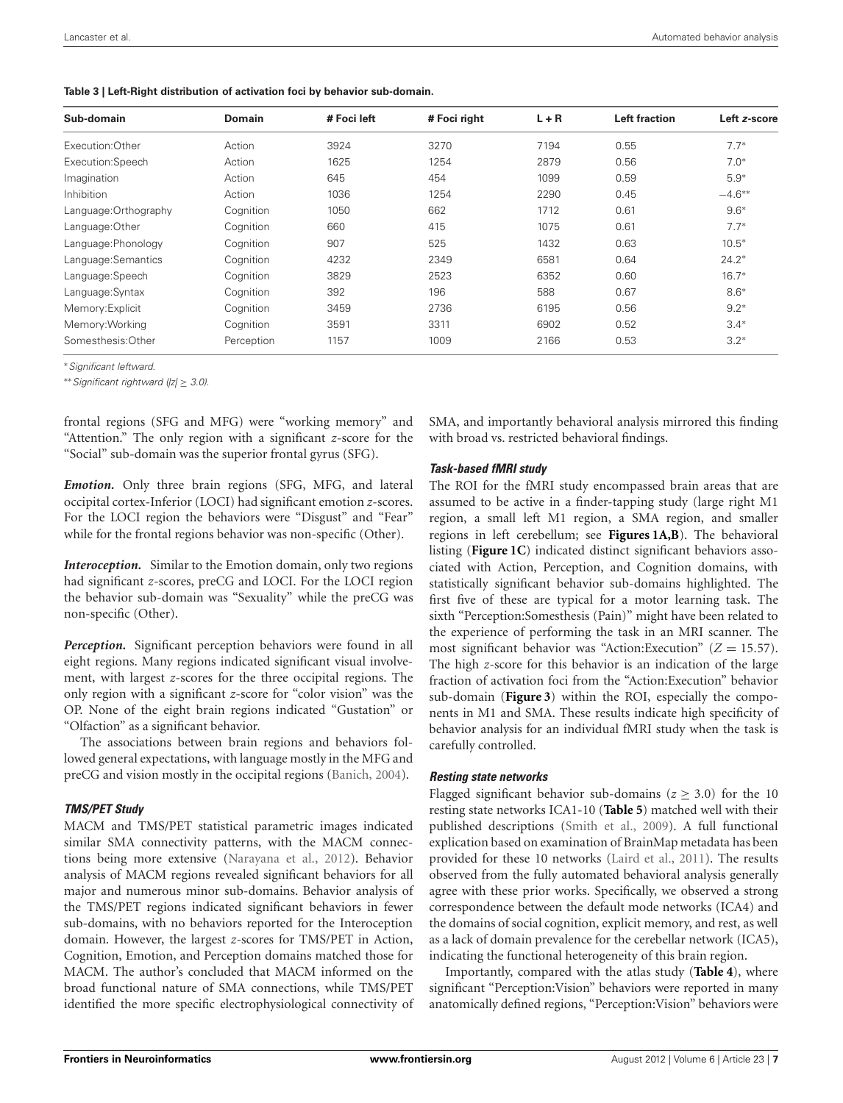<span id="page-6-0"></span>

|  |  |  |  |  | Table 3   Left-Right distribution of activation foci by behavior sub-domain. |
|--|--|--|--|--|------------------------------------------------------------------------------|
|--|--|--|--|--|------------------------------------------------------------------------------|

| Sub-domain            | <b>Domain</b> | # Foci left | # Foci right | $L + R$ | Left fraction | Left z-score |
|-----------------------|---------------|-------------|--------------|---------|---------------|--------------|
| Execution: Other      | Action        | 3924        | 3270         | 7194    | 0.55          | $7.7*$       |
| Execution:Speech      | Action        | 1625        | 1254         | 2879    | 0.56          | $7.0*$       |
| Imagination           | Action        | 645         | 454          | 1099    | 0.59          | $5.9*$       |
| Inhibition            | Action        | 1036        | 1254         | 2290    | 0.45          | $-4.6***$    |
| Language: Orthography | Cognition     | 1050        | 662          | 1712    | 0.61          | $9.6*$       |
| Language: Other       | Cognition     | 660         | 415          | 1075    | 0.61          | $7.7*$       |
| Language: Phonology   | Cognition     | 907         | 525          | 1432    | 0.63          | $10.5*$      |
| Language: Semantics   | Cognition     | 4232        | 2349         | 6581    | 0.64          | $24.2*$      |
| Language:Speech       | Cognition     | 3829        | 2523         | 6352    | 0.60          | $16.7*$      |
| Language: Syntax      | Coanition     | 392         | 196          | 588     | 0.67          | $8.6*$       |
| Memory: Explicit      | Cognition     | 3459        | 2736         | 6195    | 0.56          | $9.2*$       |
| Memory: Working       | Cognition     | 3591        | 3311         | 6902    | 0.52          | $3.4*$       |
| Somesthesis: Other    | Perception    | 1157        | 1009         | 2166    | 0.53          | $3.2*$       |

∗*Significant leftward.*

∗∗*Significant rightward (|z|* ≥ *3.0).*

frontal regions (SFG and MFG) were "working memory" and "Attention." The only region with a significant *z*-score for the "Social" sub-domain was the superior frontal gyrus (SFG).

*Emotion.* Only three brain regions (SFG, MFG, and lateral occipital cortex-Inferior (LOCI) had significant emotion *z*-scores. For the LOCI region the behaviors were "Disgust" and "Fear" while for the frontal regions behavior was non-specific (Other).

*Interoception.* Similar to the Emotion domain, only two regions had significant *z*-scores, preCG and LOCI. For the LOCI region the behavior sub-domain was "Sexuality" while the preCG was non-specific (Other).

*Perception.* Significant perception behaviors were found in all eight regions. Many regions indicated significant visual involvement, with largest *z*-scores for the three occipital regions. The only region with a significant *z*-score for "color vision" was the OP. None of the eight brain regions indicated "Gustation" or "Olfaction" as a significant behavior.

The associations between brain regions and behaviors followed general expectations, with language mostly in the MFG and preCG and vision mostly in the occipital regions [\(Banich, 2004](#page-10-16)).

#### *TMS/PET Study*

MACM and TMS/PET statistical parametric images indicated similar SMA connectivity patterns, with the MACM connections being more extensive [\(Narayana et al.](#page-11-3), [2012\)](#page-11-3). Behavior analysis of MACM regions revealed significant behaviors for all major and numerous minor sub-domains. Behavior analysis of the TMS/PET regions indicated significant behaviors in fewer sub-domains, with no behaviors reported for the Interoception domain. However, the largest *z*-scores for TMS/PET in Action, Cognition, Emotion, and Perception domains matched those for MACM. The author's concluded that MACM informed on the broad functional nature of SMA connections, while TMS/PET identified the more specific electrophysiological connectivity of

SMA, and importantly behavioral analysis mirrored this finding with broad vs. restricted behavioral findings.

# *Task-based fMRI study*

The ROI for the fMRI study encompassed brain areas that are assumed to be active in a finder-tapping study (large right M1 region, a small left M1 region, a SMA region, and smaller regions in left cerebellum; see **[Figures 1A,B](#page-2-0)**). The behavioral listing (**[Figure 1C](#page-2-0)**) indicated distinct significant behaviors associated with Action, Perception, and Cognition domains, with statistically significant behavior sub-domains highlighted. The first five of these are typical for a motor learning task. The sixth "Perception:Somesthesis (Pain)" might have been related to the experience of performing the task in an MRI scanner. The most significant behavior was "Action:Execution"  $(Z = 15.57)$ . The high *z*-score for this behavior is an indication of the large fraction of activation foci from the "Action:Execution" behavior sub-domain (**[Figure 3](#page-4-0)**) within the ROI, especially the components in M1 and SMA. These results indicate high specificity of behavior analysis for an individual fMRI study when the task is carefully controlled.

#### *Resting state networks*

Flagged significant behavior sub-domains ( $z \geq 3.0$ ) for the 10 resting state networks ICA1-10 (**[Table 5](#page-8-0)**) matched well with their published descriptions [\(Smith et al.](#page-11-8), [2009](#page-11-8)). A full functional explication based on examination of BrainMap metadata has been provided for these 10 networks [\(Laird et al.](#page-10-17), [2011](#page-10-17)). The results observed from the fully automated behavioral analysis generally agree with these prior works. Specifically, we observed a strong correspondence between the default mode networks (ICA4) and the domains of social cognition, explicit memory, and rest, as well as a lack of domain prevalence for the cerebellar network (ICA5), indicating the functional heterogeneity of this brain region.

Importantly, compared with the atlas study (**[Table 4](#page-7-0)**), where significant "Perception:Vision" behaviors were reported in many anatomically defined regions, "Perception:Vision" behaviors were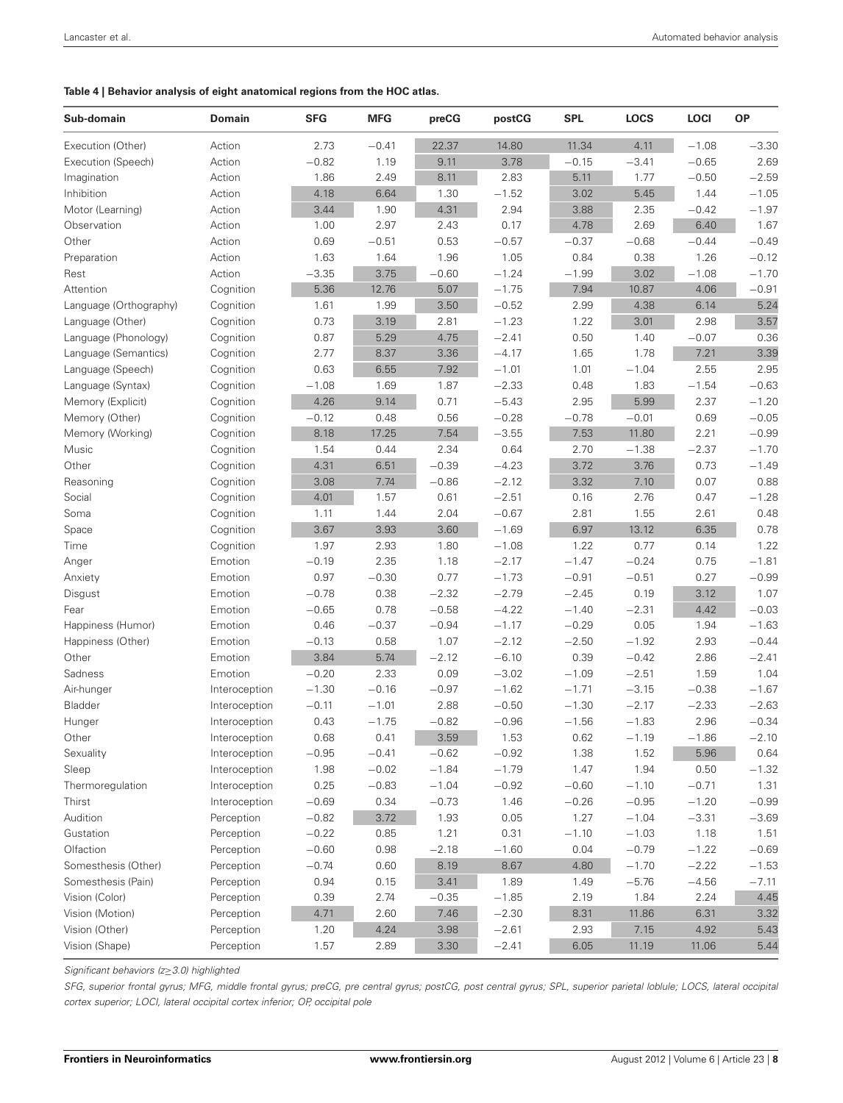#### <span id="page-7-0"></span>**Table 4 | Behavior analysis of eight anatomical regions from the HOC atlas.**

| Sub-domain             | Domain        | <b>SFG</b> | <b>MFG</b> | preCG   | postCG  | <b>SPL</b> | LOCS    | <b>LOCI</b> | <b>OP</b> |
|------------------------|---------------|------------|------------|---------|---------|------------|---------|-------------|-----------|
| Execution (Other)      | Action        | 2.73       | $-0.41$    | 22.37   | 14.80   | 11.34      | 4.11    | $-1.08$     | $-3.30$   |
| Execution (Speech)     | Action        | $-0.82$    | 1.19       | 9.11    | 3.78    | $-0.15$    | $-3.41$ | $-0.65$     | 2.69      |
| Imagination            | Action        | 1.86       | 2.49       | 8.11    | 2.83    | 5.11       | 1.77    | $-0.50$     | $-2.59$   |
| Inhibition             | Action        | 4.18       | 6.64       | 1.30    | $-1.52$ | 3.02       | 5.45    | 1.44        | $-1.05$   |
| Motor (Learning)       | Action        | 3.44       | 1.90       | 4.31    | 2.94    | 3.88       | 2.35    | $-0.42$     | $-1.97$   |
| Observation            | Action        | 1.00       | 2.97       | 2.43    | 0.17    | 4.78       | 2.69    | 6.40        | 1.67      |
| Other                  | Action        | 0.69       | $-0.51$    | 0.53    | $-0.57$ | $-0.37$    | $-0.68$ | $-0.44$     | $-0.49$   |
| Preparation            | Action        | 1.63       | 1.64       | 1.96    | 1.05    | 0.84       | 0.38    | 1.26        | $-0.12$   |
| Rest                   | Action        | $-3.35$    | 3.75       | $-0.60$ | $-1.24$ | $-1.99$    | 3.02    | $-1.08$     | $-1.70$   |
| Attention              | Cognition     | 5.36       | 12.76      | 5.07    | $-1.75$ | 7.94       | 10.87   | 4.06        | $-0.91$   |
| Language (Orthography) | Cognition     | 1.61       | 1.99       | 3.50    | $-0.52$ | 2.99       | 4.38    | 6.14        | 5.24      |
| Language (Other)       | Cognition     | 0.73       | 3.19       | 2.81    | $-1.23$ | 1.22       | 3.01    | 2.98        | 3.57      |
| Language (Phonology)   | Cognition     | 0.87       | 5.29       | 4.75    | $-2.41$ | 0.50       | 1.40    | $-0.07$     | 0.36      |
| Language (Semantics)   | Cognition     | 2.77       | 8.37       | 3.36    | $-4.17$ | 1.65       | 1.78    | 7.21        | 3.39      |
| Language (Speech)      | Cognition     | 0.63       | 6.55       | 7.92    | $-1.01$ | 1.01       | $-1.04$ | 2.55        | 2.95      |
| Language (Syntax)      | Cognition     | $-1.08$    | 1.69       | 1.87    | $-2.33$ | 0.48       | 1.83    | $-1.54$     | $-0.63$   |
| Memory (Explicit)      | Cognition     | 4.26       | 9.14       | 0.71    | $-5.43$ | 2.95       | 5.99    | 2.37        | $-1.20$   |
| Memory (Other)         | Cognition     | $-0.12$    | 0.48       | 0.56    | $-0.28$ | $-0.78$    | $-0.01$ | 0.69        | $-0.05$   |
| Memory (Working)       | Cognition     | 8.18       | 17.25      | 7.54    | $-3.55$ | 7.53       | 11.80   | 2.21        | $-0.99$   |
| Music                  | Cognition     | 1.54       | 0.44       | 2.34    | 0.64    | 2.70       | $-1.38$ | $-2.37$     | $-1.70$   |
| Other                  | Cognition     | 4.31       | 6.51       | $-0.39$ | $-4.23$ | 3.72       | 3.76    | 0.73        | $-1.49$   |
| Reasoning              | Cognition     | 3.08       | 7.74       | $-0.86$ | $-2.12$ | 3.32       | 7.10    | 0.07        | 0.88      |
| Social                 | Cognition     | 4.01       | 1.57       | 0.61    | $-2.51$ | 0.16       | 2.76    | 0.47        | $-1.28$   |
| Soma                   | Cognition     | 1.11       | 1.44       | 2.04    | $-0.67$ | 2.81       | 1.55    | 2.61        | 0.48      |
| Space                  | Cognition     | 3.67       | 3.93       | 3.60    | $-1.69$ | 6.97       | 13.12   | 6.35        | 0.78      |
| Time                   | Cognition     | 1.97       | 2.93       | 1.80    | $-1.08$ | 1.22       | 0.77    | 0.14        | 1.22      |
| Anger                  | Emotion       | $-0.19$    | 2.35       | 1.18    | $-2.17$ | $-1.47$    | $-0.24$ | 0.75        | $-1.81$   |
| Anxiety                | Emotion       | 0.97       | $-0.30$    | 0.77    | $-1.73$ | $-0.91$    | $-0.51$ | 0.27        | $-0.99$   |
| Disgust                | Emotion       | $-0.78$    | 0.38       | $-2.32$ | $-2.79$ | $-2.45$    | 0.19    | 3.12        | 1.07      |
| Fear                   | Emotion       | $-0.65$    | 0.78       | $-0.58$ | $-4.22$ | $-1.40$    | $-2.31$ | 4.42        | $-0.03$   |
| Happiness (Humor)      | Emotion       | 0.46       | $-0.37$    | $-0.94$ | $-1.17$ | $-0.29$    | 0.05    | 1.94        | $-1.63$   |
| Happiness (Other)      | Emotion       | $-0.13$    | 0.58       | 1.07    | $-2.12$ | $-2.50$    | $-1.92$ | 2.93        | $-0.44$   |
| Other                  | Emotion       | 3.84       | 5.74       | $-2.12$ | $-6.10$ | 0.39       | $-0.42$ | 2.86        | $-2.41$   |
| Sadness                | Emotion       | $-0.20$    | 2.33       | 0.09    | $-3.02$ | $-1.09$    | $-2.51$ | 1.59        | 1.04      |
| Air-hunger             | Interoception | $-1.30$    | $-0.16$    | $-0.97$ | $-1.62$ | $-1.71$    | $-3.15$ | $-0.38$     | $-1.67$   |
| Bladder                | Interoception | $-0.11$    | $-1.01$    | 2.88    | $-0.50$ | $-1.30$    | $-2.17$ | $-2.33$     | $-2.63$   |
| Hunger                 | Interoception | 0.43       | $-1.75$    | $-0.82$ | $-0.96$ | $-1.56$    | $-1.83$ | 2.96        | $-0.34$   |
| Other                  | Interoception | 0.68       | 0.41       | 3.59    | 1.53    | 0.62       | $-1.19$ | $-1.86$     | $-2.10$   |
| Sexuality              | Interoception | $-0.95$    | $-0.41$    | $-0.62$ | $-0.92$ | 1.38       | 1.52    | 5.96        | 0.64      |
| Sleep                  | Interoception | 1.98       | $-0.02$    | $-1.84$ | $-1.79$ | 1.47       | 1.94    | 0.50        | $-1.32$   |
| Thermoregulation       | Interoception | 0.25       | $-0.83$    | $-1.04$ | $-0.92$ | $-0.60$    | $-1.10$ | $-0.71$     | 1.31      |
| Thirst                 | Interoception | $-0.69$    | 0.34       | $-0.73$ | 1.46    | $-0.26$    | $-0.95$ | $-1.20$     | $-0.99$   |
| Audition               | Perception    | $-0.82$    | 3.72       | 1.93    | 0.05    | 1.27       | $-1.04$ | $-3.31$     | $-3.69$   |
| Gustation              | Perception    | $-0.22$    | 0.85       | 1.21    | 0.31    | $-1.10$    | $-1.03$ | 1.18        | 1.51      |
| Olfaction              | Perception    | $-0.60$    | 0.98       | $-2.18$ | $-1.60$ | 0.04       | $-0.79$ | $-1.22$     | $-0.69$   |
| Somesthesis (Other)    | Perception    | $-0.74$    | 0.60       | 8.19    | 8.67    | 4.80       | $-1.70$ | $-2.22$     | $-1.53$   |
| Somesthesis (Pain)     | Perception    | 0.94       | 0.15       | 3.41    | 1.89    | 1.49       | $-5.76$ | $-4.56$     | $-7.11$   |
| Vision (Color)         | Perception    | 0.39       | 2.74       | $-0.35$ | $-1.85$ | 2.19       | 1.84    | 2.24        | 4.45      |
| Vision (Motion)        | Perception    | 4.71       | 2.60       | 7.46    | $-2.30$ | 8.31       | 11.86   | 6.31        | 3.32      |
| Vision (Other)         | Perception    | 1.20       | 4.24       | 3.98    | $-2.61$ | 2.93       | 7.15    | 4.92        | 5.43      |
| Vision (Shape)         | Perception    | 1.57       | 2.89       | 3.30    | $-2.41$ | 6.05       | 11.19   | 11.06       | 5.44      |
|                        |               |            |            |         |         |            |         |             |           |

*Significant behaviors (z*≥*3.0) highlighted*

*SFG, superior frontal gyrus; MFG, middle frontal gyrus; preCG, pre central gyrus; postCG, post central gyrus; SPL, superior parietal loblule; LOCS, lateral occipital cortex superior; LOCI, lateral occipital cortex inferior; OP, occipital pole*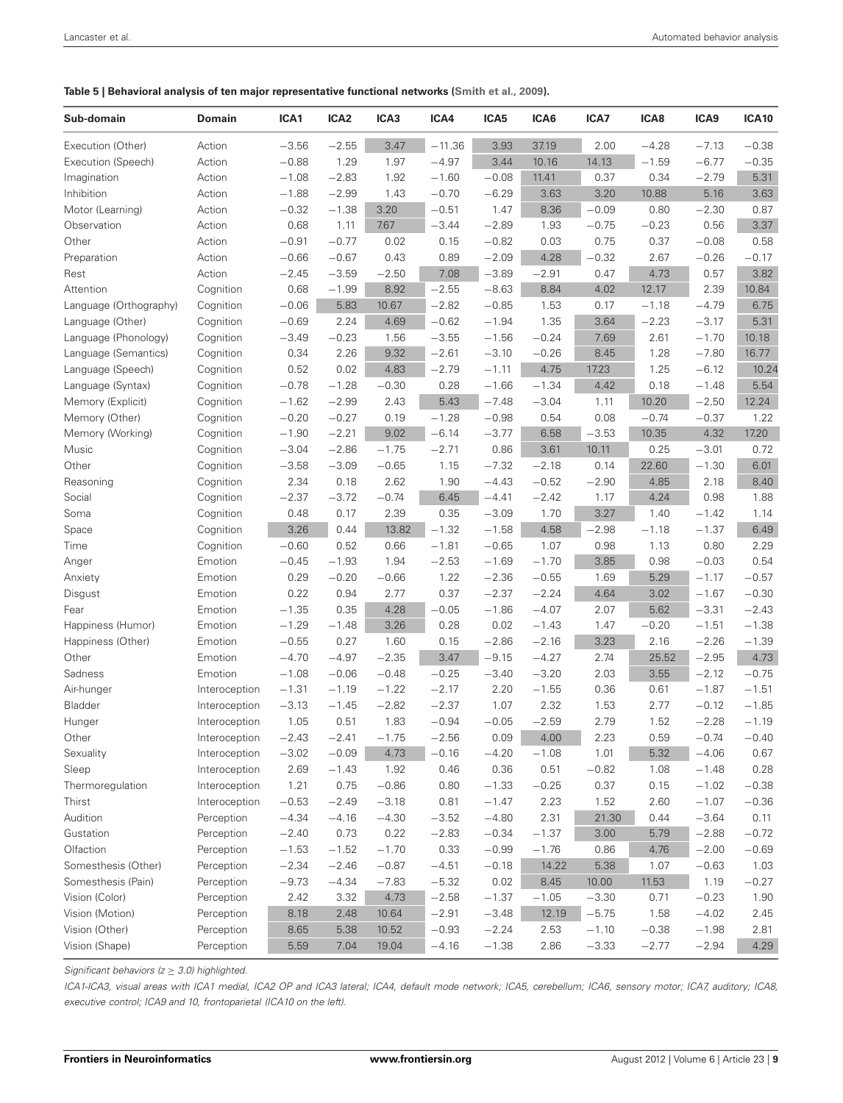<span id="page-8-0"></span>**Table 5 | Behavioral analysis of ten major representative functional networks [\(Smith et al., 2009\)](#page-11-8).**

| Sub-domain             | Domain        | ICA1    | ICA <sub>2</sub> | ICA3    | ICA4     | ICA5    | ICA6    | ICA7    | ICA8    | ICA9    | <b>ICA10</b> |
|------------------------|---------------|---------|------------------|---------|----------|---------|---------|---------|---------|---------|--------------|
| Execution (Other)      | Action        | $-3.56$ | $-2.55$          | 3.47    | $-11.36$ | 3.93    | 37.19   | 2.00    | $-4.28$ | $-7.13$ | $-0.38$      |
| Execution (Speech)     | Action        | $-0.88$ | 1.29             | 1.97    | $-4.97$  | 3.44    | 10.16   | 14.13   | $-1.59$ | $-6.77$ | $-0.35$      |
| Imagination            | Action        | $-1.08$ | $-2.83$          | 1.92    | $-1.60$  | $-0.08$ | 11.41   | 0.37    | 0.34    | $-2.79$ | 5.31         |
| Inhibition             | Action        | $-1.88$ | $-2.99$          | 1.43    | $-0.70$  | $-6.29$ | 3.63    | 3.20    | 10.88   | 5.16    | 3.63         |
| Motor (Learning)       | Action        | $-0.32$ | $-1.38$          | 3.20    | $-0.51$  | 1.47    | 8.36    | $-0.09$ | 0.80    | $-2.30$ | 0.87         |
| Observation            | Action        | 0.68    | 1.11             | 7.67    | $-3.44$  | $-2.89$ | 1.93    | $-0.75$ | $-0.23$ | 0.56    | 3.37         |
| Other                  | Action        | $-0.91$ | $-0.77$          | 0.02    | 0.15     | $-0.82$ | 0.03    | 0.75    | 0.37    | $-0.08$ | 0.58         |
| Preparation            | Action        | $-0.66$ | $-0.67$          | 0.43    | 0.89     | $-2.09$ | 4.28    | $-0.32$ | 2.67    | $-0.26$ | $-0.17$      |
| Rest                   | Action        | $-2.45$ | $-3.59$          | $-2.50$ | 7.08     | $-3.89$ | $-2.91$ | 0.47    | 4.73    | 0.57    | 3.82         |
| Attention              | Cognition     | 0.68    | $-1.99$          | 8.92    | $-2.55$  | $-8.63$ | 8.84    | 4.02    | 12.17   | 2.39    | 10.84        |
| Language (Orthography) | Cognition     | $-0.06$ | 5.83             | 10.67   | $-2.82$  | $-0.85$ | 1.53    | 0.17    | $-1.18$ | $-4.79$ | 6.75         |
| Language (Other)       | Cognition     | $-0.69$ | 2.24             | 4.69    | $-0.62$  | $-1.94$ | 1.35    | 3.64    | $-2.23$ | $-3.17$ | 5.31         |
| Language (Phonology)   | Cognition     | $-3.49$ | $-0.23$          | 1.56    | $-3.55$  | $-1.56$ | $-0.24$ | 7.69    | 2.61    | $-1.70$ | 10.18        |
| Language (Semantics)   | Cognition     | 0.34    | 2.26             | 9.32    | $-2.61$  | $-3.10$ | $-0.26$ | 8.45    | 1.28    | $-7.80$ | 16.77        |
| Language (Speech)      | Cognition     | 0.52    | 0.02             | 4.83    | $-2.79$  | $-1.11$ | 4.75    | 17.23   | 1.25    | $-6.12$ | 10.24        |
| Language (Syntax)      | Cognition     | $-0.78$ | $-1.28$          | $-0.30$ | 0.28     | $-1.66$ | $-1.34$ | 4.42    | 0.18    | $-1.48$ | 5.54         |
| Memory (Explicit)      | Cognition     | $-1.62$ | $-2.99$          | 2.43    | 5.43     | $-7.48$ | $-3.04$ | 1.11    | 10.20   | $-2.50$ | 12.24        |
| Memory (Other)         | Cognition     | $-0.20$ | $-0.27$          | 0.19    | $-1.28$  | $-0.98$ | 0.54    | 0.08    | $-0.74$ | $-0.37$ | 1.22         |
| Memory (Working)       | Cognition     | $-1.90$ | $-2.21$          | 9.02    | $-6.14$  | $-3.77$ | 6.58    | $-3.53$ | 10.35   | 4.32    | 17.20        |
| Music                  | Cognition     | $-3.04$ | $-2.86$          | $-1.75$ | $-2.71$  | 0.86    | 3.61    | 10.11   | 0.25    | $-3.01$ | 0.72         |
| Other                  | Cognition     | $-3.58$ | $-3.09$          | $-0.65$ | 1.15     | $-7.32$ | $-2.18$ | 0.14    | 22.60   | $-1.30$ | 6.01         |
| Reasoning              | Cognition     | 2.34    | 0.18             | 2.62    | 1.90     | $-4.43$ | $-0.52$ | $-2.90$ | 4.85    | 2.18    | 8.40         |
| Social                 | Cognition     | $-2.37$ | $-3.72$          | $-0.74$ | 6.45     | $-4.41$ | $-2.42$ | 1.17    | 4.24    | 0.98    | 1.88         |
| Soma                   | Cognition     | 0.48    | 0.17             | 2.39    | 0.35     | $-3.09$ | 1.70    | 3.27    | 1.40    | $-1.42$ | 1.14         |
| Space                  | Cognition     | 3.26    | 0.44             | 13.82   | $-1.32$  | $-1.58$ | 4.58    | $-2.98$ | $-1.18$ | $-1.37$ | 6.49         |
| Time                   | Cognition     | $-0.60$ | 0.52             | 0.66    | $-1.81$  | $-0.65$ | 1.07    | 0.98    | 1.13    | 0.80    | 2.29         |
| Anger                  | Emotion       | $-0.45$ | $-1.93$          | 1.94    | $-2.53$  | $-1.69$ | $-1.70$ | 3.85    | 0.98    | $-0.03$ | 0.54         |
| Anxiety                | Emotion       | 0.29    | $-0.20$          | $-0.66$ | 1.22     | $-2.36$ | $-0.55$ | 1.69    | 5.29    | $-1.17$ | $-0.57$      |
| Disgust                | Emotion       | 0.22    | 0.94             | 2.77    | 0.37     | $-2.37$ | $-2.24$ | 4.64    | 3.02    | $-1.67$ | $-0.30$      |
| Fear                   | Emotion       | $-1.35$ | 0.35             | 4.28    | $-0.05$  | $-1.86$ | $-4.07$ | 2.07    | 5.62    | $-3.31$ | $-2.43$      |
| Happiness (Humor)      | Emotion       | $-1.29$ | $-1.48$          | 3.26    | 0.28     | 0.02    | $-1.43$ | 1.47    | $-0.20$ | $-1.51$ | $-1.38$      |
| Happiness (Other)      | Emotion       | $-0.55$ | 0.27             | 1.60    | 0.15     | $-2.86$ | $-2.16$ | 3.23    | 2.16    | $-2.26$ | $-1.39$      |
| Other                  | Emotion       | $-4.70$ | $-4.97$          | $-2.35$ | 3.47     | $-9.15$ | $-4.27$ | 2.74    | 25.52   | $-2.95$ | 4.73         |
| Sadness                | Emotion       | $-1.08$ | $-0.06$          | $-0.48$ | $-0.25$  | $-3.40$ | $-3.20$ | 2.03    | 3.55    | $-2.12$ | $-0.75$      |
| Air-hunger             | Interoception | $-1.31$ | $-1.19$          | $-1.22$ | $-2.17$  | 2.20    | $-1.55$ | 0.36    | 0.61    | $-1.87$ | $-1.51$      |
| Bladder                | Interoception | $-3.13$ | $-1.45$          | $-2.82$ | $-2.37$  | 1.07    | 2.32    | 1.53    | 2.77    | $-0.12$ | $-1.85$      |
| Hunger                 | Interoception | 1.05    | 0.51             | 1.83    | $-0.94$  | $-0.05$ | $-2.59$ | 2.79    | 1.52    | $-2.28$ | $-1.19$      |
| Other                  | Interoception | $-2.43$ | $-2.41$          | $-1.75$ | $-2.56$  | 0.09    | 4.00    | 2.23    | 0.59    | $-0.74$ | $-0.40$      |
| Sexuality              | Interoception | $-3.02$ | $-0.09$          | 4.73    | $-0.16$  | $-4.20$ | $-1.08$ | 1.01    | 5.32    | $-4.06$ | 0.67         |
| Sleep                  | Interoception | 2.69    | $-1.43$          | 1.92    | 0.46     | 0.36    | 0.51    | $-0.82$ | 1.08    | $-1.48$ | 0.28         |
| Thermoregulation       | Interoception | 1.21    | 0.75             | $-0.86$ | 0.80     | $-1.33$ | $-0.25$ | 0.37    | 0.15    | $-1.02$ | $-0.38$      |
| Thirst                 | Interoception | $-0.53$ | $-2.49$          | $-3.18$ | 0.81     | $-1.47$ | 2.23    | 1.52    | 2.60    | $-1.07$ | $-0.36$      |
| Audition               | Perception    | $-4.34$ | $-4.16$          | $-4.30$ | $-3.52$  | $-4.80$ | 2.31    | 21.30   | 0.44    | $-3.64$ | 0.11         |
| Gustation              | Perception    | $-2.40$ | 0.73             | 0.22    | $-2.83$  | $-0.34$ | $-1.37$ | 3.00    | 5.79    | $-2.88$ | $-0.72$      |
| Olfaction              | Perception    | $-1.53$ | $-1.52$          | $-1.70$ | 0.33     | $-0.99$ | $-1.76$ | 0.86    | 4.76    | $-2.00$ | $-0.69$      |
| Somesthesis (Other)    | Perception    | $-2.34$ | $-2.46$          | $-0.87$ | $-4.51$  | $-0.18$ | 14.22   | 5.38    | 1.07    | $-0.63$ | 1.03         |
| Somesthesis (Pain)     | Perception    | $-9.73$ | $-4.34$          | $-7.83$ | $-5.32$  | 0.02    | 8.45    | 10.00   | 11.53   | 1.19    | $-0.27$      |
| Vision (Color)         | Perception    | 2.42    | 3.32             | 4.73    | $-2.58$  | $-1.37$ | $-1.05$ | $-3.30$ | 0.71    | $-0.23$ | 1.90         |
| Vision (Motion)        | Perception    | 8.18    | 2.48             | 10.64   | $-2.91$  | $-3.48$ | 12.19   | $-5.75$ | 1.58    | $-4.02$ | 2.45         |
| Vision (Other)         | Perception    | 8.65    | 5.38             | 10.52   | $-0.93$  | $-2.24$ | 2.53    | $-1.10$ | $-0.38$ | $-1.98$ | 2.81         |
| Vision (Shape)         | Perception    | 5.59    | 7.04             | 19.04   | $-4.16$  | $-1.38$ | 2.86    | $-3.33$ | $-2.77$ | $-2.94$ | 4.29         |

*Significant behaviors (z* ≥ *3.0) highlighted.*

*ICA1-ICA3, visual areas with ICA1 medial, ICA2 OP and ICA3 lateral; ICA4, default mode network; ICA5, cerebellum; ICA6, sensory motor; ICA7, auditory; ICA8, executive control; ICA9 and 10, frontoparietal (ICA10 on the left).*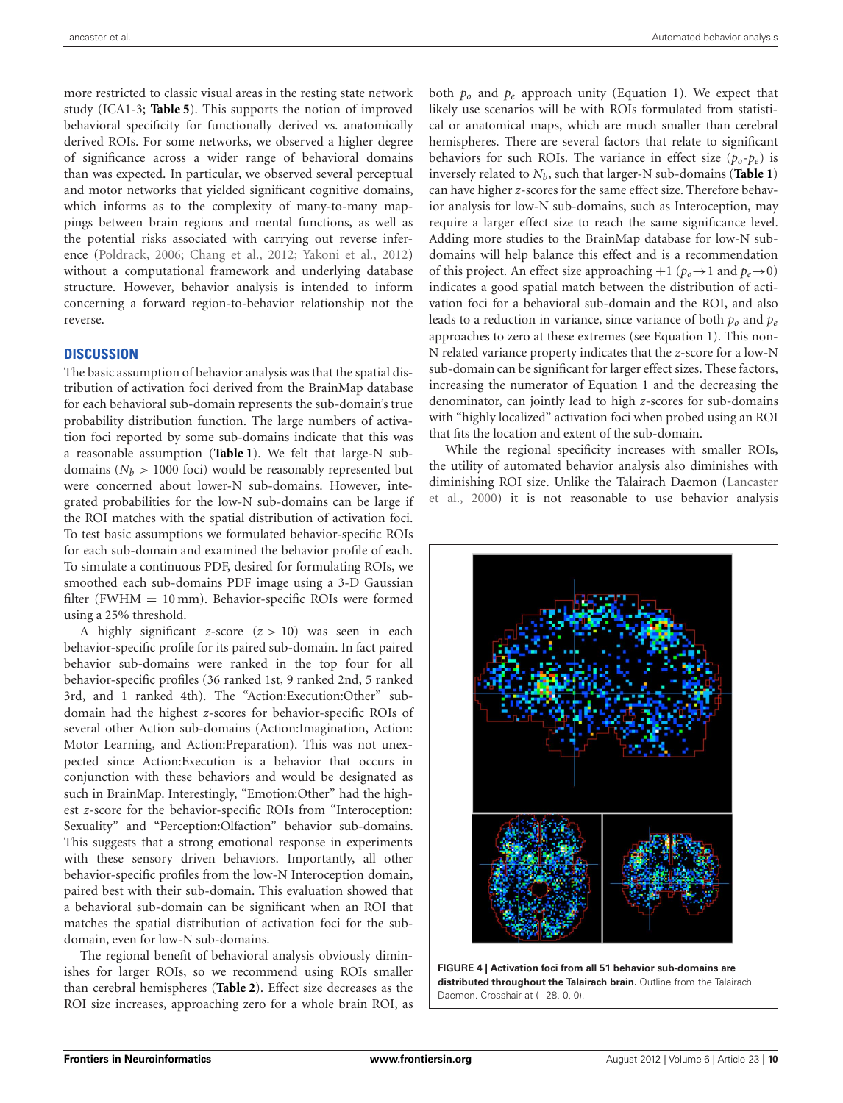more restricted to classic visual areas in the resting state network study (ICA1-3; **[Table 5](#page-8-0)**). This supports the notion of improved behavioral specificity for functionally derived vs. anatomically derived ROIs. For some networks, we observed a higher degree of significance across a wider range of behavioral domains than was expected. In particular, we observed several perceptual and motor networks that yielded significant cognitive domains, which informs as to the complexity of many-to-many mappings between brain regions and mental functions, as well as the potential risks associated with carrying out reverse inference [\(Poldrack](#page-11-0), [2006;](#page-11-0) [Chang et al.](#page-10-18), [2012;](#page-10-18) [Yakoni et al., 2012](#page-11-9)) without a computational framework and underlying database structure. However, behavior analysis is intended to inform concerning a forward region-to-behavior relationship not the reverse.

#### **DISCUSSION**

The basic assumption of behavior analysis was that the spatial distribution of activation foci derived from the BrainMap database for each behavioral sub-domain represents the sub-domain's true probability distribution function. The large numbers of activation foci reported by some sub-domains indicate that this was a reasonable assumption (**[Table 1](#page-1-0)**). We felt that large-N subdomains  $(N_b > 1000$  foci) would be reasonably represented but were concerned about lower-N sub-domains. However, integrated probabilities for the low-N sub-domains can be large if the ROI matches with the spatial distribution of activation foci. To test basic assumptions we formulated behavior-specific ROIs for each sub-domain and examined the behavior profile of each. To simulate a continuous PDF, desired for formulating ROIs, we smoothed each sub-domains PDF image using a 3-D Gaussian filter (FWHM = 10 mm). Behavior-specific ROIs were formed using a 25% threshold.

A highly significant *z*-score (*z >* 10) was seen in each behavior-specific profile for its paired sub-domain. In fact paired behavior sub-domains were ranked in the top four for all behavior-specific profiles (36 ranked 1st, 9 ranked 2nd, 5 ranked 3rd, and 1 ranked 4th). The "Action:Execution:Other" subdomain had the highest *z*-scores for behavior-specific ROIs of several other Action sub-domains (Action:Imagination, Action: Motor Learning, and Action:Preparation). This was not unexpected since Action:Execution is a behavior that occurs in conjunction with these behaviors and would be designated as such in BrainMap. Interestingly, "Emotion:Other" had the highest *z*-score for the behavior-specific ROIs from "Interoception: Sexuality" and "Perception:Olfaction" behavior sub-domains. This suggests that a strong emotional response in experiments with these sensory driven behaviors. Importantly, all other behavior-specific profiles from the low-N Interoception domain, paired best with their sub-domain. This evaluation showed that a behavioral sub-domain can be significant when an ROI that matches the spatial distribution of activation foci for the subdomain, even for low-N sub-domains.

The regional benefit of behavioral analysis obviously diminishes for larger ROIs, so we recommend using ROIs smaller than cerebral hemispheres (**[Table 2](#page-5-0)**). Effect size decreases as the ROI size increases, approaching zero for a whole brain ROI, as

both *po* and *pe* approach unity (Equation 1). We expect that likely use scenarios will be with ROIs formulated from statistical or anatomical maps, which are much smaller than cerebral hemispheres. There are several factors that relate to significant behaviors for such ROIs. The variance in effect size  $(p_0-p_e)$  is inversely related to  $N_b$ , such that larger-N sub-domains (**[Table 1](#page-1-0)**) can have higher *z*-scores for the same effect size. Therefore behavior analysis for low-N sub-domains, such as Interoception, may require a larger effect size to reach the same significance level. Adding more studies to the BrainMap database for low-N subdomains will help balance this effect and is a recommendation of this project. An effect size approaching  $+1$  ( $p_0 \rightarrow 1$  and  $p_e \rightarrow 0$ ) indicates a good spatial match between the distribution of activation foci for a behavioral sub-domain and the ROI, and also leads to a reduction in variance, since variance of both  $p<sub>o</sub>$  and  $p<sub>e</sub>$ approaches to zero at these extremes (see Equation 1). This non-N related variance property indicates that the *z*-score for a low-N sub-domain can be significant for larger effect sizes. These factors, increasing the numerator of Equation 1 and the decreasing the denominator, can jointly lead to high *z*-scores for sub-domains with "highly localized" activation foci when probed using an ROI that fits the location and extent of the sub-domain.

While the regional specificity increases with smaller ROIs, the utility of automated behavior analysis also diminishes with dimi[nishing ROI size. Unlike the Talairach Daemon \(](#page-10-6)Lancaster et al., [2000](#page-10-6)) it is not reasonable to use behavior analysis



<span id="page-9-0"></span>**FIGURE 4 | Activation foci from all 51 behavior sub-domains are distributed throughout the Talairach brain.** Outline from the Talairach Daemon. Crosshair at (-28, 0, 0).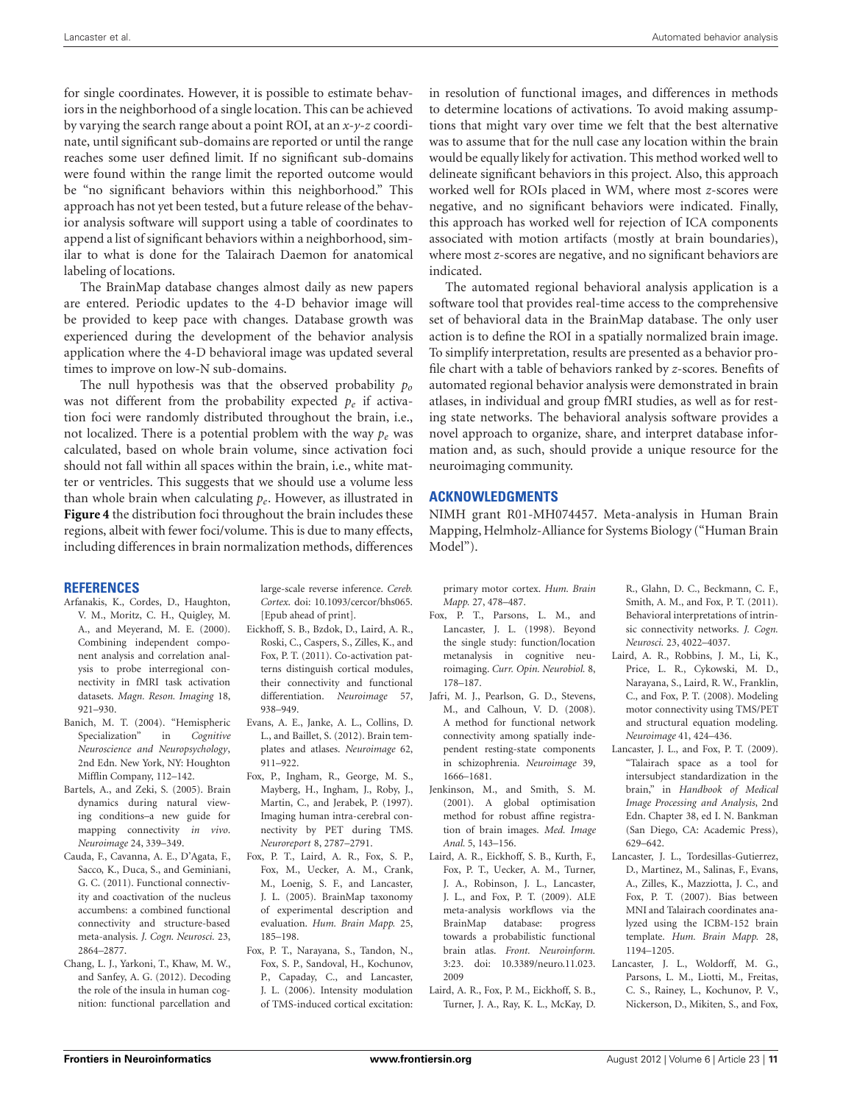for single coordinates. However, it is possible to estimate behaviors in the neighborhood of a single location. This can be achieved by varying the search range about a point ROI, at an *x*-*y*-*z* coordinate, until significant sub-domains are reported or until the range reaches some user defined limit. If no significant sub-domains were found within the range limit the reported outcome would be "no significant behaviors within this neighborhood." This approach has not yet been tested, but a future release of the behavior analysis software will support using a table of coordinates to append a list of significant behaviors within a neighborhood, similar to what is done for the Talairach Daemon for anatomical labeling of locations.

The BrainMap database changes almost daily as new papers are entered. Periodic updates to the 4-D behavior image will be provided to keep pace with changes. Database growth was experienced during the development of the behavior analysis application where the 4-D behavioral image was updated several times to improve on low-N sub-domains.

The null hypothesis was that the observed probability *po* was not different from the probability expected  $p_e$  if activation foci were randomly distributed throughout the brain, i.e., not localized. There is a potential problem with the way *pe* was calculated, based on whole brain volume, since activation foci should not fall within all spaces within the brain, i.e., white matter or ventricles. This suggests that we should use a volume less than whole brain when calculating *pe*. However, as illustrated in **[Figure 4](#page-9-0)** the distribution foci throughout the brain includes these regions, albeit with fewer foci/volume. This is due to many effects, including differences in brain normalization methods, differences

# **REFERENCES**

- <span id="page-10-13"></span>Arfanakis, K., Cordes, D., Haughton, V. M., Moritz, C. H., Quigley, M. A., and Meyerand, M. E. (2000). Combining independent component analysis and correlation analysis to probe interregional connectivity in fMRI task activation datasets. *Magn. Reson. Imaging* 18, 921–930.
- <span id="page-10-16"></span>Banich, M. T. (2004). "Hemispheric Specialization" in *Cognitive Neuroscience and Neuropsychology*, 2nd Edn. New York, NY: Houghton Mifflin Company, 112–142.
- <span id="page-10-14"></span>Bartels, A., and Zeki, S. (2005). Brain dynamics during natural viewing conditions–a new guide for mapping connectivity *in vivo*. *Neuroimage* 24, 339–349.
- <span id="page-10-11"></span>Cauda, F., Cavanna, A. E., D'Agata, F., Sacco, K., Duca, S., and Geminiani, G. C. (2011). Functional connectivity and coactivation of the nucleus accumbens: a combined functional connectivity and structure-based meta-analysis. *J. Cogn. Neurosci.* 23, 2864–2877.
- <span id="page-10-18"></span>Chang, L. J., Yarkoni, T., Khaw, M. W., and Sanfey, A. G. (2012). Decoding the role of the insula in human cognition: functional parcellation and

large-scale reverse inference. *Cereb. Cortex*. doi: 10.1093/cercor/bhs065. [Epub ahead of print].

- <span id="page-10-12"></span>Eickhoff, S. B., Bzdok, D., Laird, A. R., Roski, C., Caspers, S., Zilles, K., and Fox, P. T. (2011). Co-activation patterns distinguish cortical modules, their connectivity and functional differentiation. *Neuroimage* 57, 938–949.
- <span id="page-10-5"></span>Evans, A. E., Janke, A. L., Collins, D. L., and Baillet, S. (2012). Brain templates and atlases. *Neuroimage* 62, 911–922.
- <span id="page-10-7"></span>Fox, P., Ingham, R., George, M. S., Mayberg, H., Ingham, J., Roby, J., Martin, C., and Jerabek, P. (1997). Imaging human intra-cerebral connectivity by PET during TMS. *Neuroreport* 8, 2787–2791.
- <span id="page-10-0"></span>Fox, P. T., Laird, A. R., Fox, S. P., Fox, M., Uecker, A. M., Crank, M., Loenig, S. F., and Lancaster, J. L. (2005). BrainMap taxonomy of experimental description and evaluation. *Hum. Brain Mapp.* 25, 185–198.
- <span id="page-10-8"></span>Fox, P. T., Narayana, S., Tandon, N., Fox, S. P., Sandoval, H., Kochunov, P., Capaday, C., and Lancaster, J. L. (2006). Intensity modulation of TMS-induced cortical excitation:

in resolution of functional images, and differences in methods to determine locations of activations. To avoid making assumptions that might vary over time we felt that the best alternative was to assume that for the null case any location within the brain would be equally likely for activation. This method worked well to delineate significant behaviors in this project. Also, this approach worked well for ROIs placed in WM, where most *z*-scores were negative, and no significant behaviors were indicated. Finally, this approach has worked well for rejection of ICA components associated with motion artifacts (mostly at brain boundaries), where most*z*-scores are negative, and no significant behaviors are indicated.

The automated regional behavioral analysis application is a software tool that provides real-time access to the comprehensive set of behavioral data in the BrainMap database. The only user action is to define the ROI in a spatially normalized brain image. To simplify interpretation, results are presented as a behavior profile chart with a table of behaviors ranked by *z*-scores. Benefits of automated regional behavior analysis were demonstrated in brain atlases, in individual and group fMRI studies, as well as for resting state networks. The behavioral analysis software provides a novel approach to organize, share, and interpret database information and, as such, should provide a unique resource for the neuroimaging community.

## **ACKNOWLEDGMENTS**

NIMH grant R01-MH074457. Meta-analysis in Human Brain Mapping, Helmholz-Alliance for Systems Biology ("Human Brain Model").

primary motor cortex. *Hum. Brain Mapp.* 27, 478–487.

- <span id="page-10-10"></span>Fox, P. T., Parsons, L. M., and Lancaster, J. L. (1998). Beyond the single study: function/location metanalysis in cognitive neuroimaging. *Curr. Opin. Neurobiol.* 8, 178–187.
- <span id="page-10-15"></span>Jafri, M. J., Pearlson, G. D., Stevens, M., and Calhoun, V. D. (2008). A method for functional network connectivity among spatially independent resting-state components in schizophrenia. *Neuroimage* 39, 1666–1681.
- <span id="page-10-3"></span>Jenkinson, M., and Smith, S. M. (2001). A global optimisation method for robust affine registration of brain images. *Med. Image Anal.* 5, 143–156.
- <span id="page-10-1"></span>Laird, A. R., Eickhoff, S. B., Kurth, F., Fox, P. T., Uecker, A. M., Turner, J. A., Robinson, J. L., Lancaster, J. L., and Fox, P. T. (2009). ALE meta-analysis workflows via the BrainMap database: progress towards a probabilistic functional brain atlas. *Front. Neuroinform.* 3:23. doi: 10.3389/neuro.11.023. 2009
- <span id="page-10-17"></span>Laird, A. R., Fox, P. M., Eickhoff, S. B., Turner, J. A., Ray, K. L., McKay, D.

R., Glahn, D. C., Beckmann, C. F., Smith, A. M., and Fox, P. T. (2011). Behavioral interpretations of intrinsic connectivity networks. *J. Cogn. Neurosci.* 23, 4022–4037.

- <span id="page-10-9"></span>Laird, A. R., Robbins, J. M., Li, K., Price, L. R., Cykowski, M. D., Narayana, S., Laird, R. W., Franklin, C., and Fox, P. T. (2008). Modeling motor connectivity using TMS/PET and structural equation modeling. *Neuroimage* 41, 424–436.
- <span id="page-10-2"></span>Lancaster, J. L., and Fox, P. T. (2009). "Talairach space as a tool for intersubject standardization in the brain," in *Handbook of Medical Image Processing and Analysis*, 2nd Edn. Chapter 38, ed I. N. Bankman (San Diego, CA: Academic Press), 629–642.
- <span id="page-10-4"></span>Lancaster, J. L., Tordesillas-Gutierrez, D., Martinez, M., Salinas, F., Evans, A., Zilles, K., Mazziotta, J. C., and Fox, P. T. (2007). Bias between MNI and Talairach coordinates analyzed using the ICBM-152 brain template. *Hum. Brain Mapp.* 28, 1194–1205.
- <span id="page-10-6"></span>Lancaster, J. L., Woldorff, M. G., Parsons, L. M., Liotti, M., Freitas, C. S., Rainey, L., Kochunov, P. V., Nickerson, D., Mikiten, S., and Fox,